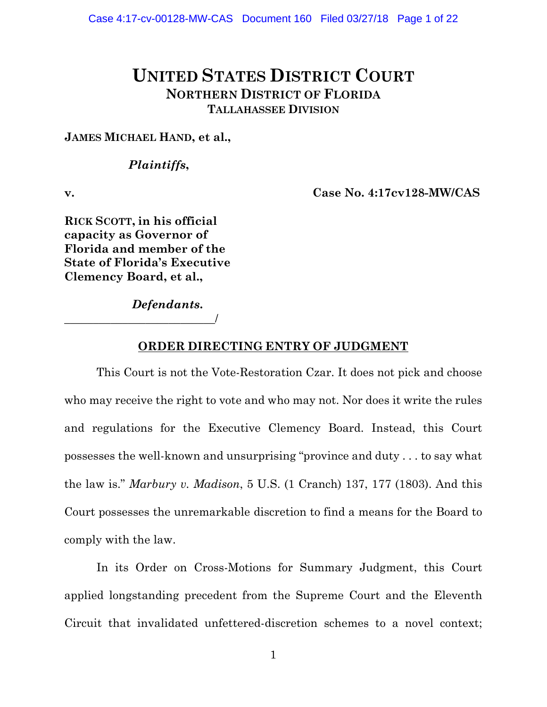# **UNITED STATES DISTRICT COURT NORTHERN DISTRICT OF FLORIDA TALLAHASSEE DIVISION**

### **JAMES MICHAEL HAND, et al.,**

### *Plaintiffs***,**

**v. Case No. 4:17cv128-MW/CAS**

**RICK SCOTT, in his official capacity as Governor of Florida and member of the State of Florida's Executive Clemency Board, et al.,**

\_\_\_\_\_\_\_\_\_\_\_\_\_\_\_\_\_\_\_\_\_\_\_\_\_\_/

*Defendants***.**

### **ORDER DIRECTING ENTRY OF JUDGMENT**

This Court is not the Vote-Restoration Czar. It does not pick and choose who may receive the right to vote and who may not. Nor does it write the rules and regulations for the Executive Clemency Board. Instead, this Court possesses the well-known and unsurprising "province and duty . . . to say what the law is." *Marbury v. Madison*, 5 U.S. (1 Cranch) 137, 177 (1803). And this Court possesses the unremarkable discretion to find a means for the Board to comply with the law.

In its Order on Cross-Motions for Summary Judgment, this Court applied longstanding precedent from the Supreme Court and the Eleventh Circuit that invalidated unfettered-discretion schemes to a novel context;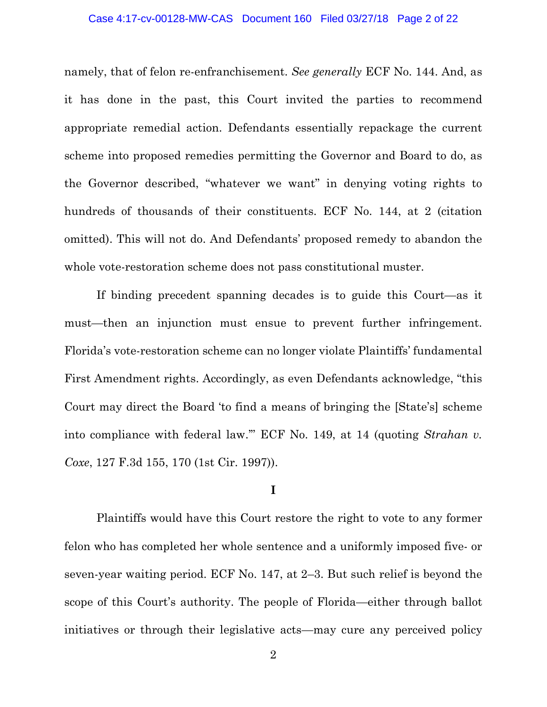### Case 4:17-cv-00128-MW-CAS Document 160 Filed 03/27/18 Page 2 of 22

namely, that of felon re-enfranchisement. *See generally* ECF No. 144. And, as it has done in the past, this Court invited the parties to recommend appropriate remedial action. Defendants essentially repackage the current scheme into proposed remedies permitting the Governor and Board to do, as the Governor described, "whatever we want" in denying voting rights to hundreds of thousands of their constituents. ECF No. 144, at 2 (citation omitted). This will not do. And Defendants' proposed remedy to abandon the whole vote-restoration scheme does not pass constitutional muster.

If binding precedent spanning decades is to guide this Court—as it must—then an injunction must ensue to prevent further infringement. Florida's vote-restoration scheme can no longer violate Plaintiffs' fundamental First Amendment rights. Accordingly, as even Defendants acknowledge, "this Court may direct the Board 'to find a means of bringing the [State's] scheme into compliance with federal law.'" ECF No. 149, at 14 (quoting *Strahan v. Coxe*, 127 F.3d 155, 170 (1st Cir. 1997)).

### **I**

Plaintiffs would have this Court restore the right to vote to any former felon who has completed her whole sentence and a uniformly imposed five- or seven-year waiting period. ECF No. 147, at 2–3. But such relief is beyond the scope of this Court's authority. The people of Florida—either through ballot initiatives or through their legislative acts—may cure any perceived policy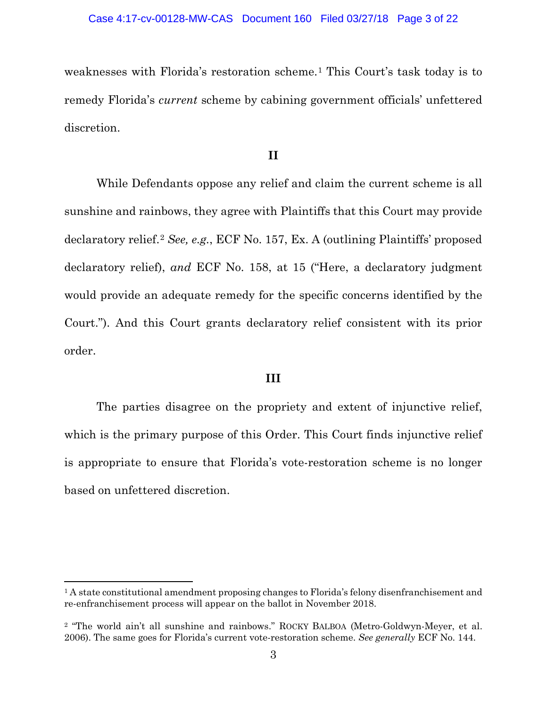weaknesses with Florida's restoration scheme.[1](#page-2-0) This Court's task today is to remedy Florida's *current* scheme by cabining government officials' unfettered discretion.

### **II**

While Defendants oppose any relief and claim the current scheme is all sunshine and rainbows, they agree with Plaintiffs that this Court may provide declaratory relief.[2](#page-2-1) *See, e.g.*, ECF No. 157, Ex. A (outlining Plaintiffs' proposed declaratory relief), *and* ECF No. 158, at 15 ("Here, a declaratory judgment would provide an adequate remedy for the specific concerns identified by the Court."). And this Court grants declaratory relief consistent with its prior order.

### **III**

The parties disagree on the propriety and extent of injunctive relief, which is the primary purpose of this Order. This Court finds injunctive relief is appropriate to ensure that Florida's vote-restoration scheme is no longer based on unfettered discretion.

<span id="page-2-0"></span><sup>1</sup> A state constitutional amendment proposing changes to Florida's felony disenfranchisement and re-enfranchisement process will appear on the ballot in November 2018.

<span id="page-2-1"></span><sup>2</sup> "The world ain't all sunshine and rainbows." ROCKY BALBOA (Metro-Goldwyn-Meyer, et al. 2006). The same goes for Florida's current vote-restoration scheme. *See generally* ECF No. 144.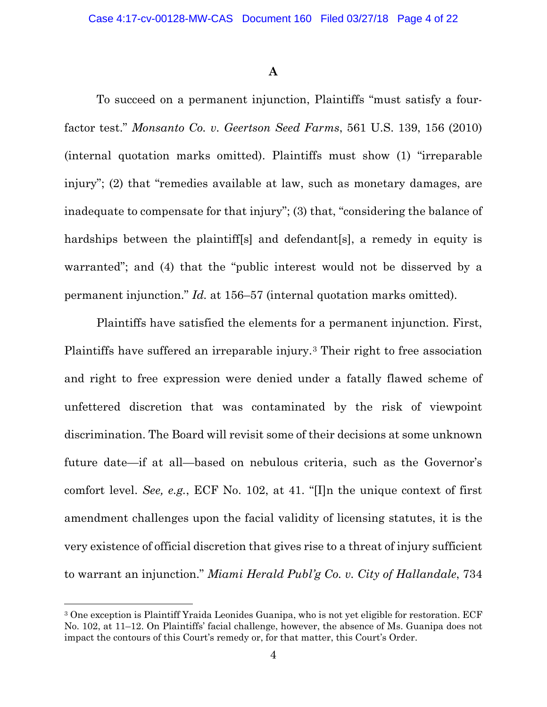### **A**

To succeed on a permanent injunction, Plaintiffs "must satisfy a fourfactor test." *Monsanto Co. v. Geertson Seed Farms*, 561 U.S. 139, 156 (2010) (internal quotation marks omitted). Plaintiffs must show (1) "irreparable injury"; (2) that "remedies available at law, such as monetary damages, are inadequate to compensate for that injury"; (3) that, "considering the balance of hardships between the plaintiff<sup>[s]</sup> and defendant<sup>[s]</sup>, a remedy in equity is warranted"; and (4) that the "public interest would not be disserved by a permanent injunction." *Id.* at 156–57 (internal quotation marks omitted).

Plaintiffs have satisfied the elements for a permanent injunction. First, Plaintiffs have suffered an irreparable injury.[3](#page-3-0) Their right to free association and right to free expression were denied under a fatally flawed scheme of unfettered discretion that was contaminated by the risk of viewpoint discrimination. The Board will revisit some of their decisions at some unknown future date—if at all—based on nebulous criteria, such as the Governor's comfort level. *See, e.g.*, ECF No. 102, at 41. "[I]n the unique context of first amendment challenges upon the facial validity of licensing statutes, it is the very existence of official discretion that gives rise to a threat of injury sufficient to warrant an injunction." *Miami Herald Publ'g Co. v. City of Hallandale*, 734

<span id="page-3-0"></span><sup>3</sup> One exception is Plaintiff Yraida Leonides Guanipa, who is not yet eligible for restoration. ECF No. 102, at 11–12. On Plaintiffs' facial challenge, however, the absence of Ms. Guanipa does not impact the contours of this Court's remedy or, for that matter, this Court's Order.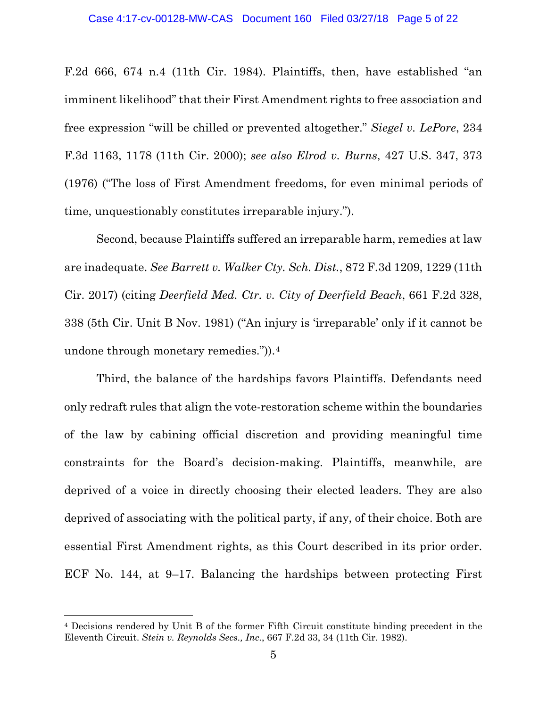F.2d 666, 674 n.4 (11th Cir. 1984). Plaintiffs, then, have established "an imminent likelihood" that their First Amendment rights to free association and free expression "will be chilled or prevented altogether." *Siegel v. LePore*, 234 F.3d 1163, 1178 (11th Cir. 2000); *see also Elrod v. Burns*, 427 U.S. 347, 373 (1976) ("The loss of First Amendment freedoms, for even minimal periods of time, unquestionably constitutes irreparable injury.").

Second, because Plaintiffs suffered an irreparable harm, remedies at law are inadequate. *See Barrett v. Walker Cty. Sch. Dist.*, 872 F.3d 1209, 1229 (11th Cir. 2017) (citing *Deerfield Med. Ctr. v. City of Deerfield Beach*, 661 F.2d 328, 338 (5th Cir. Unit B Nov. 1981) ("An injury is 'irreparable' only if it cannot be undone through monetary remedies.")).[4](#page-4-0)

Third, the balance of the hardships favors Plaintiffs. Defendants need only redraft rules that align the vote-restoration scheme within the boundaries of the law by cabining official discretion and providing meaningful time constraints for the Board's decision-making. Plaintiffs, meanwhile, are deprived of a voice in directly choosing their elected leaders. They are also deprived of associating with the political party, if any, of their choice. Both are essential First Amendment rights, as this Court described in its prior order. ECF No. 144, at 9–17. Balancing the hardships between protecting First

<span id="page-4-0"></span><sup>4</sup> Decisions rendered by Unit B of the former Fifth Circuit constitute binding precedent in the Eleventh Circuit. *Stein v. Reynolds Secs., Inc.*, 667 F.2d 33, 34 (11th Cir. 1982).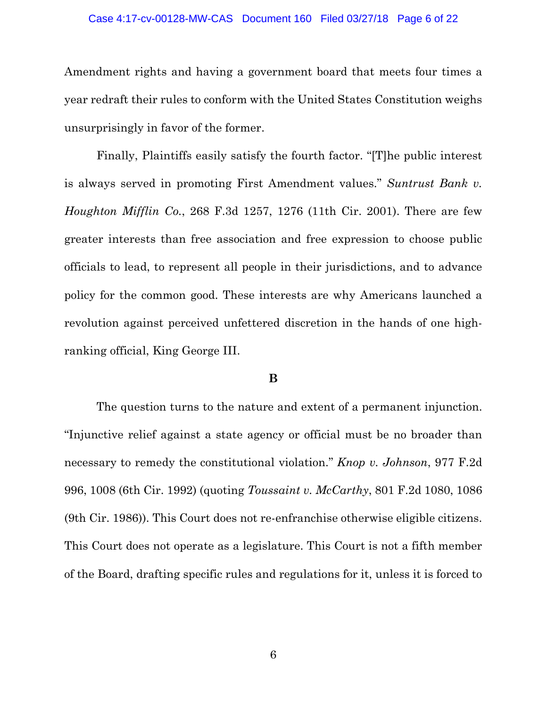### Case 4:17-cv-00128-MW-CAS Document 160 Filed 03/27/18 Page 6 of 22

Amendment rights and having a government board that meets four times a year redraft their rules to conform with the United States Constitution weighs unsurprisingly in favor of the former.

Finally, Plaintiffs easily satisfy the fourth factor. "[T]he public interest is always served in promoting First Amendment values." *Suntrust Bank v. Houghton Mifflin Co.*, 268 F.3d 1257, 1276 (11th Cir. 2001). There are few greater interests than free association and free expression to choose public officials to lead, to represent all people in their jurisdictions, and to advance policy for the common good. These interests are why Americans launched a revolution against perceived unfettered discretion in the hands of one highranking official, King George III.

### **B**

The question turns to the nature and extent of a permanent injunction. "Injunctive relief against a state agency or official must be no broader than necessary to remedy the constitutional violation." *Knop v. Johnson*, 977 F.2d 996, 1008 (6th Cir. 1992) (quoting *Toussaint v. McCarthy*, 801 F.2d 1080, 1086 (9th Cir. 1986)). This Court does not re-enfranchise otherwise eligible citizens. This Court does not operate as a legislature. This Court is not a fifth member of the Board, drafting specific rules and regulations for it, unless it is forced to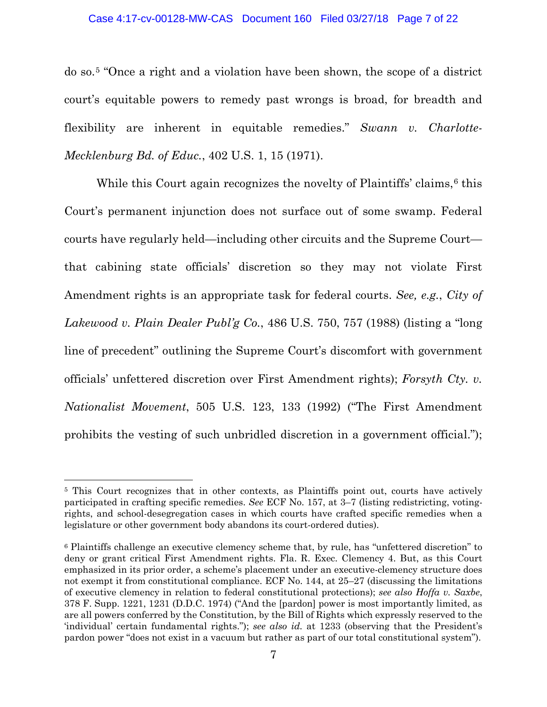### Case 4:17-cv-00128-MW-CAS Document 160 Filed 03/27/18 Page 7 of 22

do so.[5](#page-6-0) "Once a right and a violation have been shown, the scope of a district court's equitable powers to remedy past wrongs is broad, for breadth and flexibility are inherent in equitable remedies." *Swann v. Charlotte-Mecklenburg Bd. of Educ.*, 402 U.S. 1, 15 (1971).

While this Court again recognizes the novelty of Plaintiffs' claims,  $6$  this Court's permanent injunction does not surface out of some swamp. Federal courts have regularly held—including other circuits and the Supreme Court that cabining state officials' discretion so they may not violate First Amendment rights is an appropriate task for federal courts. *See, e.g.*, *City of Lakewood v. Plain Dealer Publ'g Co.*, 486 U.S. 750, 757 (1988) (listing a "long line of precedent" outlining the Supreme Court's discomfort with government officials' unfettered discretion over First Amendment rights); *Forsyth Cty. v. Nationalist Movement*, 505 U.S. 123, 133 (1992) ("The First Amendment prohibits the vesting of such unbridled discretion in a government official.");

<span id="page-6-0"></span><sup>&</sup>lt;sup>5</sup> This Court recognizes that in other contexts, as Plaintiffs point out, courts have actively participated in crafting specific remedies. *See* ECF No. 157, at 3–7 (listing redistricting, votingrights, and school-desegregation cases in which courts have crafted specific remedies when a legislature or other government body abandons its court-ordered duties).

<span id="page-6-1"></span><sup>6</sup> Plaintiffs challenge an executive clemency scheme that, by rule, has "unfettered discretion" to deny or grant critical First Amendment rights. Fla. R. Exec. Clemency 4. But, as this Court emphasized in its prior order, a scheme's placement under an executive-clemency structure does not exempt it from constitutional compliance. ECF No. 144, at 25–27 (discussing the limitations of executive clemency in relation to federal constitutional protections); *see also Hoffa v. Saxbe*, 378 F. Supp. 1221, 1231 (D.D.C. 1974) ("And the [pardon] power is most importantly limited, as are all powers conferred by the Constitution, by the Bill of Rights which expressly reserved to the 'individual' certain fundamental rights."); *see also id.* at 1233 (observing that the President's pardon power "does not exist in a vacuum but rather as part of our total constitutional system").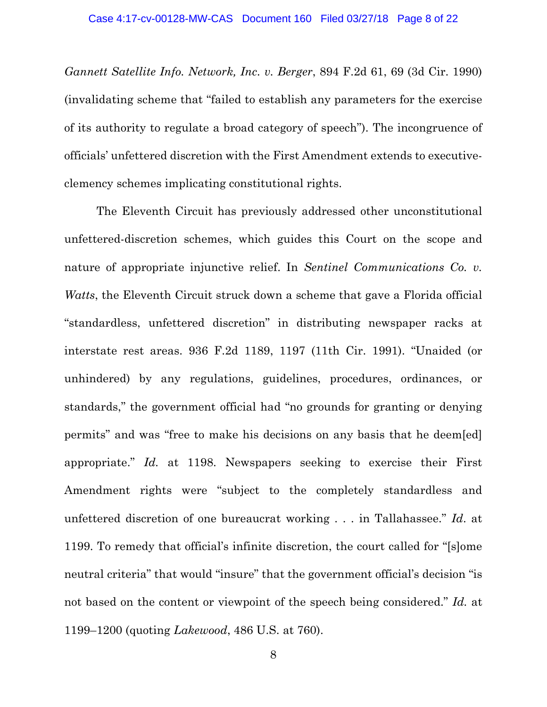*Gannett Satellite Info. Network, Inc. v. Berger*, 894 F.2d 61, 69 (3d Cir. 1990) (invalidating scheme that "failed to establish any parameters for the exercise of its authority to regulate a broad category of speech"). The incongruence of officials' unfettered discretion with the First Amendment extends to executiveclemency schemes implicating constitutional rights.

The Eleventh Circuit has previously addressed other unconstitutional unfettered-discretion schemes, which guides this Court on the scope and nature of appropriate injunctive relief. In *Sentinel Communications Co. v. Watts*, the Eleventh Circuit struck down a scheme that gave a Florida official "standardless, unfettered discretion" in distributing newspaper racks at interstate rest areas. 936 F.2d 1189, 1197 (11th Cir. 1991). "Unaided (or unhindered) by any regulations, guidelines, procedures, ordinances, or standards," the government official had "no grounds for granting or denying permits" and was "free to make his decisions on any basis that he deem[ed] appropriate." *Id.* at 1198. Newspapers seeking to exercise their First Amendment rights were "subject to the completely standardless and unfettered discretion of one bureaucrat working . . . in Tallahassee." *Id*. at 1199. To remedy that official's infinite discretion, the court called for "[s]ome neutral criteria" that would "insure" that the government official's decision "is not based on the content or viewpoint of the speech being considered." *Id.* at 1199–1200 (quoting *Lakewood*, 486 U.S. at 760).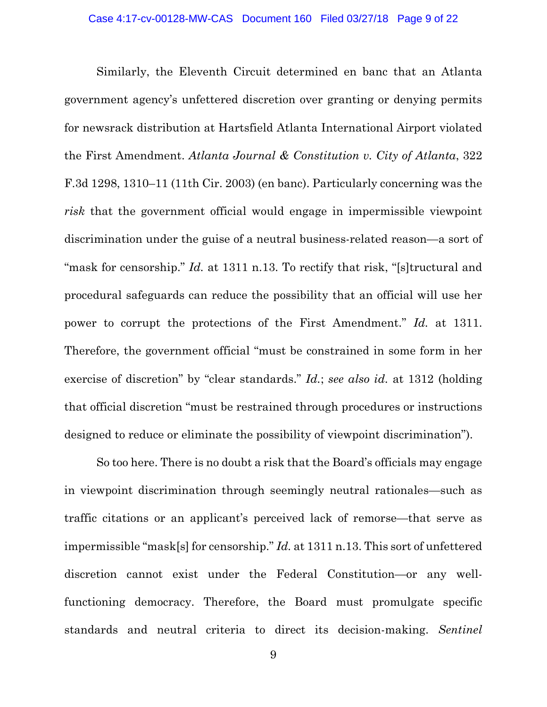Similarly, the Eleventh Circuit determined en banc that an Atlanta government agency's unfettered discretion over granting or denying permits for newsrack distribution at Hartsfield Atlanta International Airport violated the First Amendment. *Atlanta Journal & Constitution v. City of Atlanta*, 322 F.3d 1298, 1310–11 (11th Cir. 2003) (en banc). Particularly concerning was the *risk* that the government official would engage in impermissible viewpoint discrimination under the guise of a neutral business-related reason—a sort of "mask for censorship." *Id.* at 1311 n.13. To rectify that risk, "[s]tructural and procedural safeguards can reduce the possibility that an official will use her power to corrupt the protections of the First Amendment." *Id.* at 1311. Therefore, the government official "must be constrained in some form in her exercise of discretion" by "clear standards." *Id.*; *see also id.* at 1312 (holding that official discretion "must be restrained through procedures or instructions designed to reduce or eliminate the possibility of viewpoint discrimination").

So too here. There is no doubt a risk that the Board's officials may engage in viewpoint discrimination through seemingly neutral rationales—such as traffic citations or an applicant's perceived lack of remorse—that serve as impermissible "mask[s] for censorship." *Id.* at 1311 n.13. This sort of unfettered discretion cannot exist under the Federal Constitution—or any wellfunctioning democracy. Therefore, the Board must promulgate specific standards and neutral criteria to direct its decision-making. *Sentinel*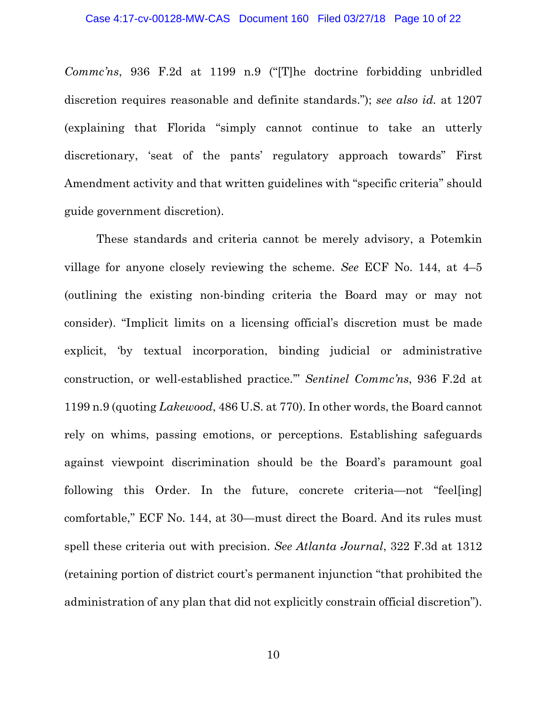*Commc'ns*, 936 F.2d at 1199 n.9 ("[T]he doctrine forbidding unbridled discretion requires reasonable and definite standards."); *see also id.* at 1207 (explaining that Florida "simply cannot continue to take an utterly discretionary, 'seat of the pants' regulatory approach towards" First Amendment activity and that written guidelines with "specific criteria" should guide government discretion).

These standards and criteria cannot be merely advisory, a Potemkin village for anyone closely reviewing the scheme. *See* ECF No. 144, at 4–5 (outlining the existing non-binding criteria the Board may or may not consider). "Implicit limits on a licensing official's discretion must be made explicit, 'by textual incorporation, binding judicial or administrative construction, or well-established practice.'" *Sentinel Commc'ns*, 936 F.2d at 1199 n.9 (quoting *Lakewood*, 486 U.S. at 770). In other words, the Board cannot rely on whims, passing emotions, or perceptions. Establishing safeguards against viewpoint discrimination should be the Board's paramount goal following this Order. In the future, concrete criteria—not "feel[ing] comfortable," ECF No. 144, at 30—must direct the Board. And its rules must spell these criteria out with precision. *See Atlanta Journal*, 322 F.3d at 1312 (retaining portion of district court's permanent injunction "that prohibited the administration of any plan that did not explicitly constrain official discretion").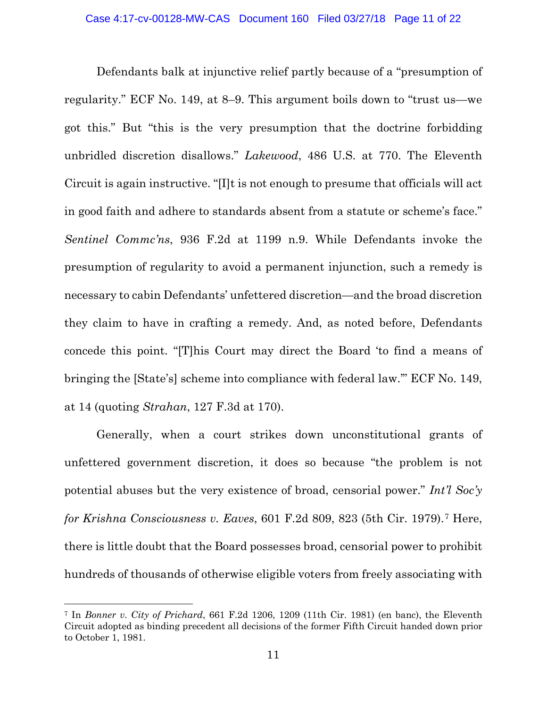Defendants balk at injunctive relief partly because of a "presumption of regularity." ECF No. 149, at 8–9. This argument boils down to "trust us—we got this." But "this is the very presumption that the doctrine forbidding unbridled discretion disallows." *Lakewood*, 486 U.S. at 770. The Eleventh Circuit is again instructive. "[I]t is not enough to presume that officials will act in good faith and adhere to standards absent from a statute or scheme's face." *Sentinel Commc'ns*, 936 F.2d at 1199 n.9. While Defendants invoke the presumption of regularity to avoid a permanent injunction, such a remedy is necessary to cabin Defendants' unfettered discretion—and the broad discretion they claim to have in crafting a remedy. And, as noted before, Defendants concede this point. "[T]his Court may direct the Board 'to find a means of bringing the [State's] scheme into compliance with federal law.'" ECF No. 149, at 14 (quoting *Strahan*, 127 F.3d at 170).

Generally, when a court strikes down unconstitutional grants of unfettered government discretion, it does so because "the problem is not potential abuses but the very existence of broad, censorial power." *Int'l Soc'y for Krishna Consciousness v. Eaves*, 601 F.2d 809, 823 (5th Cir. 1979).[7](#page-10-0) Here, there is little doubt that the Board possesses broad, censorial power to prohibit hundreds of thousands of otherwise eligible voters from freely associating with

<span id="page-10-0"></span><sup>7</sup> In *Bonner v. City of Prichard*, 661 F.2d 1206, 1209 (11th Cir. 1981) (en banc), the Eleventh Circuit adopted as binding precedent all decisions of the former Fifth Circuit handed down prior to October 1, 1981.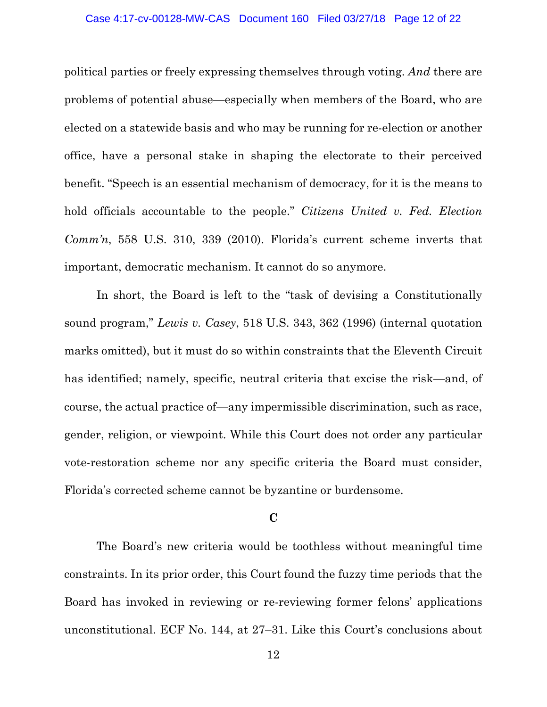#### Case 4:17-cv-00128-MW-CAS Document 160 Filed 03/27/18 Page 12 of 22

political parties or freely expressing themselves through voting. *And* there are problems of potential abuse—especially when members of the Board, who are elected on a statewide basis and who may be running for re-election or another office, have a personal stake in shaping the electorate to their perceived benefit. "Speech is an essential mechanism of democracy, for it is the means to hold officials accountable to the people." *Citizens United v. Fed. Election Comm'n*, 558 U.S. 310, 339 (2010). Florida's current scheme inverts that important, democratic mechanism. It cannot do so anymore.

In short, the Board is left to the "task of devising a Constitutionally sound program," *Lewis v. Casey*, 518 U.S. 343, 362 (1996) (internal quotation marks omitted), but it must do so within constraints that the Eleventh Circuit has identified; namely, specific, neutral criteria that excise the risk—and, of course, the actual practice of—any impermissible discrimination, such as race, gender, religion, or viewpoint. While this Court does not order any particular vote-restoration scheme nor any specific criteria the Board must consider, Florida's corrected scheme cannot be byzantine or burdensome.

### **C**

The Board's new criteria would be toothless without meaningful time constraints. In its prior order, this Court found the fuzzy time periods that the Board has invoked in reviewing or re-reviewing former felons' applications unconstitutional. ECF No. 144, at 27–31. Like this Court's conclusions about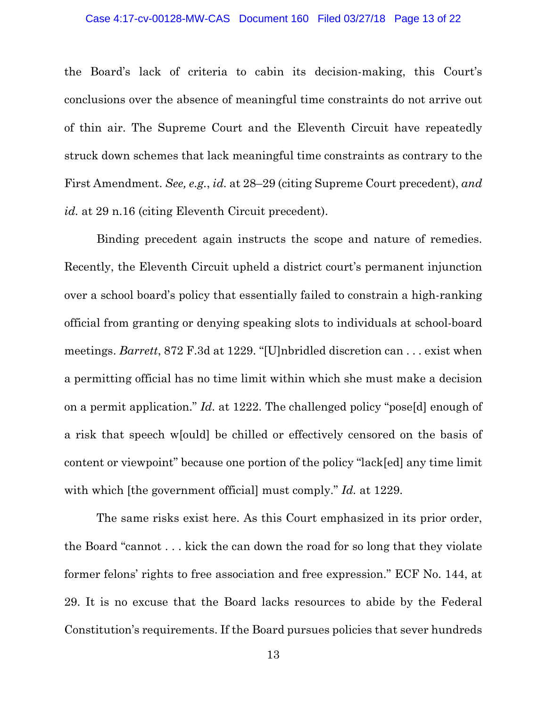#### Case 4:17-cv-00128-MW-CAS Document 160 Filed 03/27/18 Page 13 of 22

the Board's lack of criteria to cabin its decision-making, this Court's conclusions over the absence of meaningful time constraints do not arrive out of thin air. The Supreme Court and the Eleventh Circuit have repeatedly struck down schemes that lack meaningful time constraints as contrary to the First Amendment. *See, e.g.*, *id.* at 28–29 (citing Supreme Court precedent), *and id.* at 29 n.16 (citing Eleventh Circuit precedent).

Binding precedent again instructs the scope and nature of remedies. Recently, the Eleventh Circuit upheld a district court's permanent injunction over a school board's policy that essentially failed to constrain a high-ranking official from granting or denying speaking slots to individuals at school-board meetings. *Barrett*, 872 F.3d at 1229. "[U]nbridled discretion can . . . exist when a permitting official has no time limit within which she must make a decision on a permit application." *Id.* at 1222. The challenged policy "pose[d] enough of a risk that speech w[ould] be chilled or effectively censored on the basis of content or viewpoint" because one portion of the policy "lack[ed] any time limit with which [the government official] must comply." *Id.* at 1229.

The same risks exist here. As this Court emphasized in its prior order, the Board "cannot . . . kick the can down the road for so long that they violate former felons' rights to free association and free expression." ECF No. 144, at 29. It is no excuse that the Board lacks resources to abide by the Federal Constitution's requirements. If the Board pursues policies that sever hundreds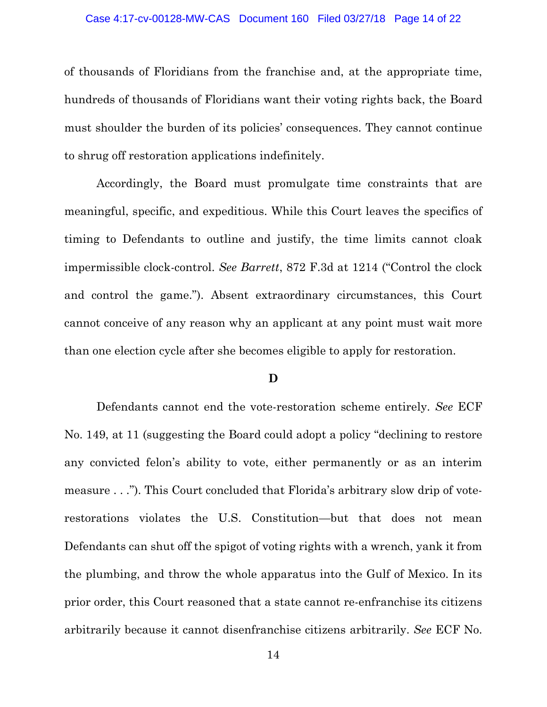#### Case 4:17-cv-00128-MW-CAS Document 160 Filed 03/27/18 Page 14 of 22

of thousands of Floridians from the franchise and, at the appropriate time, hundreds of thousands of Floridians want their voting rights back, the Board must shoulder the burden of its policies' consequences. They cannot continue to shrug off restoration applications indefinitely.

Accordingly, the Board must promulgate time constraints that are meaningful, specific, and expeditious. While this Court leaves the specifics of timing to Defendants to outline and justify, the time limits cannot cloak impermissible clock-control. *See Barrett*, 872 F.3d at 1214 ("Control the clock and control the game."). Absent extraordinary circumstances, this Court cannot conceive of any reason why an applicant at any point must wait more than one election cycle after she becomes eligible to apply for restoration.

### **D**

Defendants cannot end the vote-restoration scheme entirely. *See* ECF No. 149, at 11 (suggesting the Board could adopt a policy "declining to restore any convicted felon's ability to vote, either permanently or as an interim measure . . ."). This Court concluded that Florida's arbitrary slow drip of voterestorations violates the U.S. Constitution—but that does not mean Defendants can shut off the spigot of voting rights with a wrench, yank it from the plumbing, and throw the whole apparatus into the Gulf of Mexico. In its prior order, this Court reasoned that a state cannot re-enfranchise its citizens arbitrarily because it cannot disenfranchise citizens arbitrarily. *See* ECF No.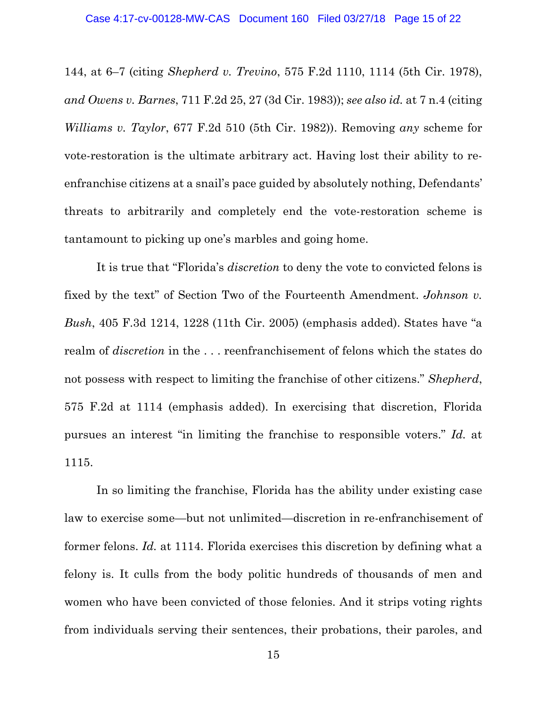144, at 6–7 (citing *Shepherd v. Trevino*, 575 F.2d 1110, 1114 (5th Cir. 1978), *and Owens v. Barnes*, 711 F.2d 25, 27 (3d Cir. 1983)); *see also id.* at 7 n.4 (citing *Williams v. Taylor*, 677 F.2d 510 (5th Cir. 1982)). Removing *any* scheme for vote-restoration is the ultimate arbitrary act. Having lost their ability to reenfranchise citizens at a snail's pace guided by absolutely nothing, Defendants' threats to arbitrarily and completely end the vote-restoration scheme is tantamount to picking up one's marbles and going home.

It is true that "Florida's *discretion* to deny the vote to convicted felons is fixed by the text" of Section Two of the Fourteenth Amendment. *Johnson v. Bush*, 405 F.3d 1214, 1228 (11th Cir. 2005) (emphasis added). States have "a realm of *discretion* in the . . . reenfranchisement of felons which the states do not possess with respect to limiting the franchise of other citizens." *Shepherd*, 575 F.2d at 1114 (emphasis added). In exercising that discretion, Florida pursues an interest "in limiting the franchise to responsible voters." *Id.* at 1115.

In so limiting the franchise, Florida has the ability under existing case law to exercise some—but not unlimited—discretion in re-enfranchisement of former felons. *Id.* at 1114. Florida exercises this discretion by defining what a felony is. It culls from the body politic hundreds of thousands of men and women who have been convicted of those felonies. And it strips voting rights from individuals serving their sentences, their probations, their paroles, and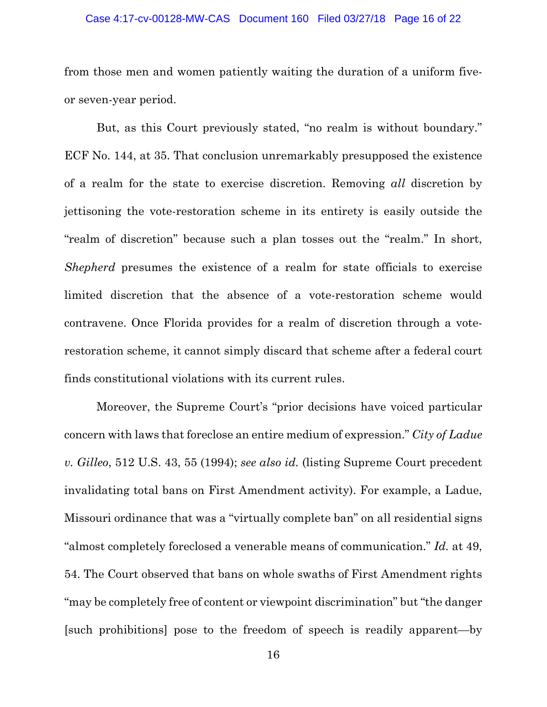#### Case 4:17-cv-00128-MW-CAS Document 160 Filed 03/27/18 Page 16 of 22

from those men and women patiently waiting the duration of a uniform fiveor seven-year period.

But, as this Court previously stated, "no realm is without boundary." ECF No. 144, at 35. That conclusion unremarkably presupposed the existence of a realm for the state to exercise discretion. Removing *all* discretion by jettisoning the vote-restoration scheme in its entirety is easily outside the "realm of discretion" because such a plan tosses out the "realm." In short, *Shepherd* presumes the existence of a realm for state officials to exercise limited discretion that the absence of a vote-restoration scheme would contravene. Once Florida provides for a realm of discretion through a voterestoration scheme, it cannot simply discard that scheme after a federal court finds constitutional violations with its current rules.

Moreover, the Supreme Court's "prior decisions have voiced particular concern with laws that foreclose an entire medium of expression." *City of Ladue v. Gilleo*, 512 U.S. 43, 55 (1994); *see also id.* (listing Supreme Court precedent invalidating total bans on First Amendment activity). For example, a Ladue, Missouri ordinance that was a "virtually complete ban" on all residential signs "almost completely foreclosed a venerable means of communication." *Id.* at 49, 54. The Court observed that bans on whole swaths of First Amendment rights "may be completely free of content or viewpoint discrimination" but "the danger [such prohibitions] pose to the freedom of speech is readily apparent—by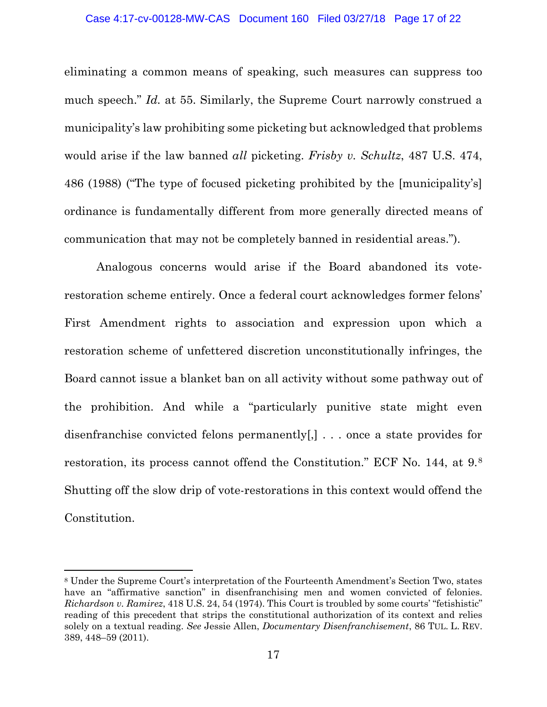### Case 4:17-cv-00128-MW-CAS Document 160 Filed 03/27/18 Page 17 of 22

eliminating a common means of speaking, such measures can suppress too much speech." *Id.* at 55. Similarly, the Supreme Court narrowly construed a municipality's law prohibiting some picketing but acknowledged that problems would arise if the law banned *all* picketing. *Frisby v. Schultz*, 487 U.S. 474, 486 (1988) ("The type of focused picketing prohibited by the [municipality's] ordinance is fundamentally different from more generally directed means of communication that may not be completely banned in residential areas.").

Analogous concerns would arise if the Board abandoned its voterestoration scheme entirely. Once a federal court acknowledges former felons' First Amendment rights to association and expression upon which a restoration scheme of unfettered discretion unconstitutionally infringes, the Board cannot issue a blanket ban on all activity without some pathway out of the prohibition. And while a "particularly punitive state might even disenfranchise convicted felons permanently[,] . . . once a state provides for restoration, its process cannot offend the Constitution." ECF No. 144, at 9.[8](#page-16-0) Shutting off the slow drip of vote-restorations in this context would offend the Constitution.

l

<span id="page-16-0"></span><sup>8</sup> Under the Supreme Court's interpretation of the Fourteenth Amendment's Section Two, states have an "affirmative sanction" in disenfranchising men and women convicted of felonies. *Richardson v. Ramirez*, 418 U.S. 24, 54 (1974). This Court is troubled by some courts' "fetishistic" reading of this precedent that strips the constitutional authorization of its context and relies solely on a textual reading. *See* Jessie Allen, *Documentary Disenfranchisement*, 86 TUL. L. REV. 389, 448–59 (2011).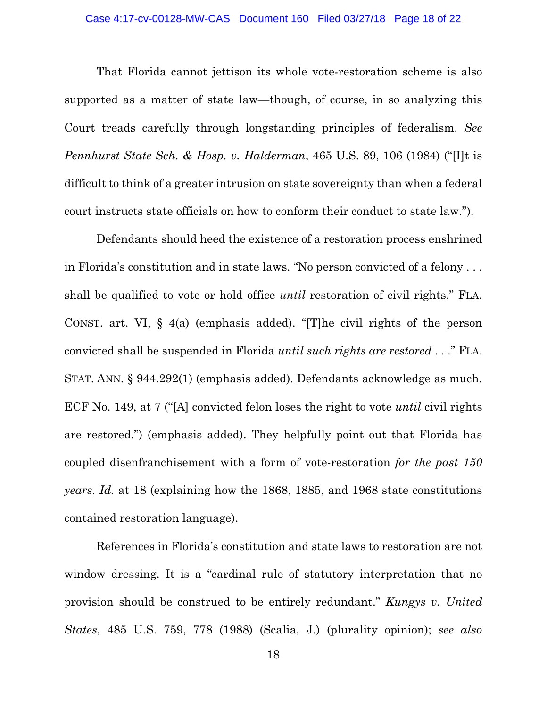### Case 4:17-cv-00128-MW-CAS Document 160 Filed 03/27/18 Page 18 of 22

That Florida cannot jettison its whole vote-restoration scheme is also supported as a matter of state law—though, of course, in so analyzing this Court treads carefully through longstanding principles of federalism. *See Pennhurst State Sch. & Hosp. v. Halderman*, 465 U.S. 89, 106 (1984) ("[I]t is difficult to think of a greater intrusion on state sovereignty than when a federal court instructs state officials on how to conform their conduct to state law.").

Defendants should heed the existence of a restoration process enshrined in Florida's constitution and in state laws. "No person convicted of a felony . . . shall be qualified to vote or hold office *until* restoration of civil rights." FLA. CONST. art. VI, § 4(a) (emphasis added). "[T]he civil rights of the person convicted shall be suspended in Florida *until such rights are restored* . . ." FLA. STAT. ANN. § 944.292(1) (emphasis added). Defendants acknowledge as much. ECF No. 149, at 7 ("[A] convicted felon loses the right to vote *until* civil rights are restored.") (emphasis added). They helpfully point out that Florida has coupled disenfranchisement with a form of vote-restoration *for the past 150 years*. *Id.* at 18 (explaining how the 1868, 1885, and 1968 state constitutions contained restoration language).

References in Florida's constitution and state laws to restoration are not window dressing. It is a "cardinal rule of statutory interpretation that no provision should be construed to be entirely redundant." *Kungys v. United States*, 485 U.S. 759, 778 (1988) (Scalia, J.) (plurality opinion); *see also*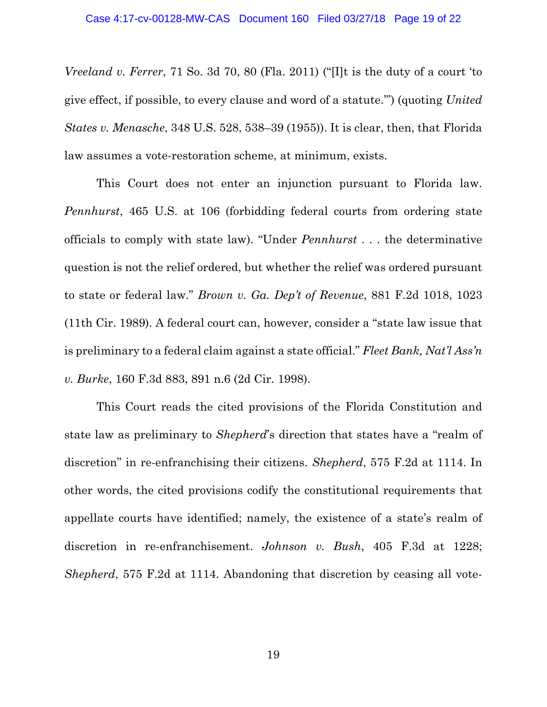*Vreeland v. Ferrer*, 71 So. 3d 70, 80 (Fla. 2011) ("[I]t is the duty of a court 'to give effect, if possible, to every clause and word of a statute.'") (quoting *United States v. Menasche*, 348 U.S. 528, 538–39 (1955)). It is clear, then, that Florida law assumes a vote-restoration scheme, at minimum, exists.

This Court does not enter an injunction pursuant to Florida law. *Pennhurst*, 465 U.S. at 106 (forbidding federal courts from ordering state officials to comply with state law). "Under *Pennhurst* . . . the determinative question is not the relief ordered, but whether the relief was ordered pursuant to state or federal law." *Brown v. Ga. Dep't of Revenue*, 881 F.2d 1018, 1023 (11th Cir. 1989). A federal court can, however, consider a "state law issue that is preliminary to a federal claim against a state official." *Fleet Bank, Nat'l Ass'n v. Burke*, 160 F.3d 883, 891 n.6 (2d Cir. 1998).

This Court reads the cited provisions of the Florida Constitution and state law as preliminary to *Shepherd*'s direction that states have a "realm of discretion" in re-enfranchising their citizens. *Shepherd*, 575 F.2d at 1114. In other words, the cited provisions codify the constitutional requirements that appellate courts have identified; namely, the existence of a state's realm of discretion in re-enfranchisement. *Johnson v. Bush*, 405 F.3d at 1228; *Shepherd*, 575 F.2d at 1114. Abandoning that discretion by ceasing all vote-

19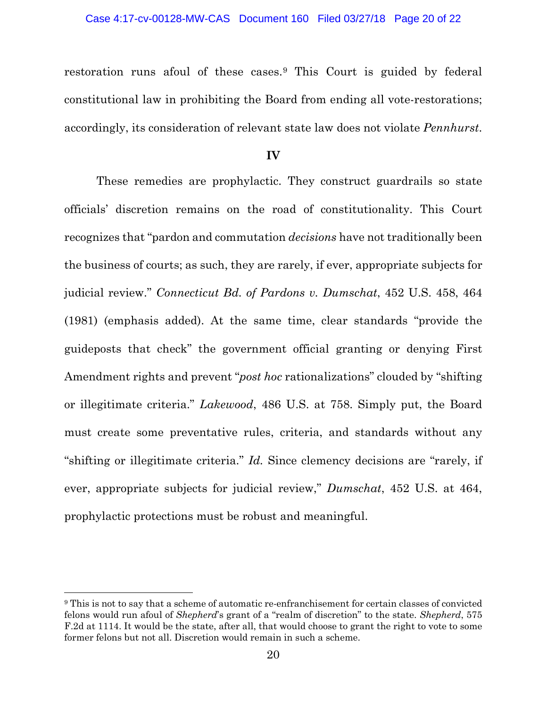### Case 4:17-cv-00128-MW-CAS Document 160 Filed 03/27/18 Page 20 of 22

restoration runs afoul of these cases.[9](#page-19-0) This Court is guided by federal constitutional law in prohibiting the Board from ending all vote-restorations; accordingly, its consideration of relevant state law does not violate *Pennhurst*.

**IV**

These remedies are prophylactic. They construct guardrails so state officials' discretion remains on the road of constitutionality. This Court recognizes that "pardon and commutation *decisions* have not traditionally been the business of courts; as such, they are rarely, if ever, appropriate subjects for judicial review." *Connecticut Bd. of Pardons v. Dumschat*, 452 U.S. 458, 464 (1981) (emphasis added). At the same time, clear standards "provide the guideposts that check" the government official granting or denying First Amendment rights and prevent "*post hoc* rationalizations" clouded by "shifting or illegitimate criteria." *Lakewood*, 486 U.S. at 758. Simply put, the Board must create some preventative rules, criteria, and standards without any "shifting or illegitimate criteria." *Id.* Since clemency decisions are "rarely, if ever, appropriate subjects for judicial review," *Dumschat*, 452 U.S. at 464, prophylactic protections must be robust and meaningful.

l

<span id="page-19-0"></span><sup>9</sup> This is not to say that a scheme of automatic re-enfranchisement for certain classes of convicted felons would run afoul of *Shepherd*'s grant of a "realm of discretion" to the state. *Shepherd*, 575 F.2d at 1114. It would be the state, after all, that would choose to grant the right to vote to some former felons but not all. Discretion would remain in such a scheme.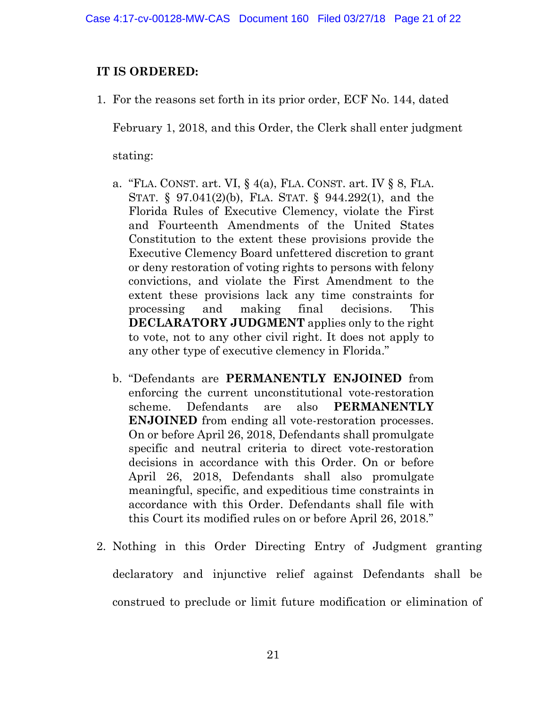# **IT IS ORDERED:**

1. For the reasons set forth in its prior order, ECF No. 144, dated

February 1, 2018, and this Order, the Clerk shall enter judgment

stating:

- a. "FLA. CONST. art. VI, § 4(a), FLA. CONST. art. IV § 8, FLA. STAT. § 97.041(2)(b), FLA. STAT. § 944.292(1), and the Florida Rules of Executive Clemency, violate the First and Fourteenth Amendments of the United States Constitution to the extent these provisions provide the Executive Clemency Board unfettered discretion to grant or deny restoration of voting rights to persons with felony convictions, and violate the First Amendment to the extent these provisions lack any time constraints for processing and making final decisions. This **DECLARATORY JUDGMENT** applies only to the right to vote, not to any other civil right. It does not apply to any other type of executive clemency in Florida."
- b. "Defendants are **PERMANENTLY ENJOINED** from enforcing the current unconstitutional vote-restoration scheme. Defendants are also **PERMANENTLY ENJOINED** from ending all vote-restoration processes. On or before April 26, 2018, Defendants shall promulgate specific and neutral criteria to direct vote-restoration decisions in accordance with this Order. On or before April 26, 2018, Defendants shall also promulgate meaningful, specific, and expeditious time constraints in accordance with this Order. Defendants shall file with this Court its modified rules on or before April 26, 2018."
- 2. Nothing in this Order Directing Entry of Judgment granting declaratory and injunctive relief against Defendants shall be construed to preclude or limit future modification or elimination of